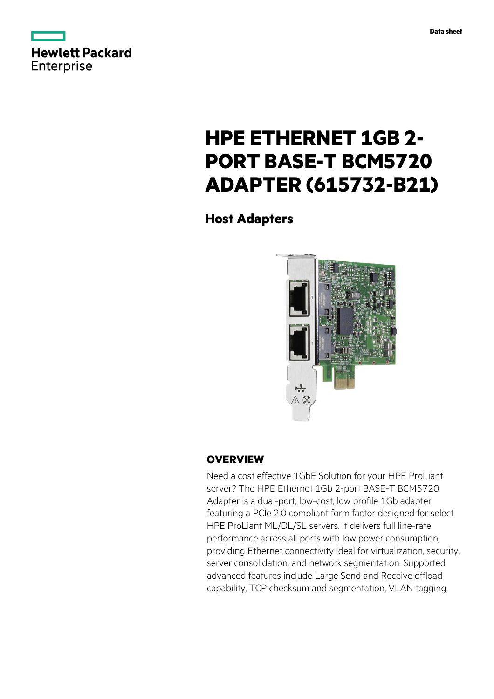



# **HPE ETHERNET 1GB 2- PORT BASE-T BCM5720 ADAPTER (615732-B21)**

**Host Adapters**



# **OVERVIEW**

Need a cost effective 1GbE Solution for your HPE ProLiant server? The HPE Ethernet 1Gb 2-port BASE-T BCM5720 Adapter is a dual-port, low-cost, low profile 1Gb adapter featuring a PCIe 2.0 compliant form factor designed for select HPE ProLiant ML/DL/SL servers. It delivers full line-rate performance across all ports with low power consumption, providing Ethernet connectivity ideal for virtualization, security, server consolidation, and network segmentation. Supported advanced features include Large Send and Receive offload capability, TCP checksum and segmentation, VLAN tagging,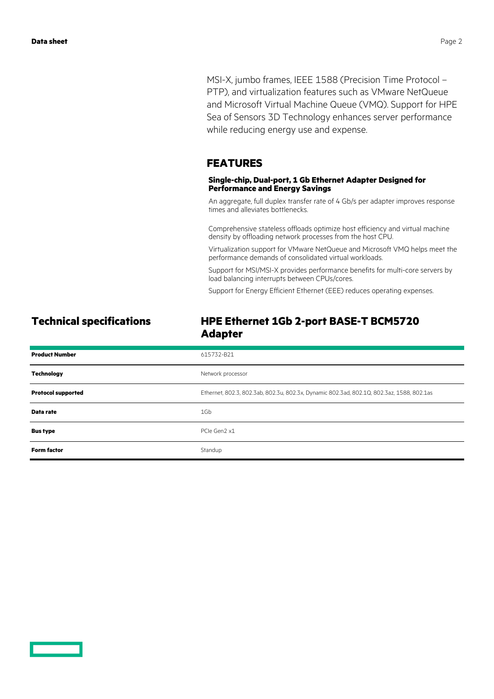MSI-X, jumbo frames, IEEE 1588 (Precision Time Protocol – PTP), and virtualization features such as VMware NetQueue and Microsoft Virtual Machine Queue (VMQ). Support for HPE Sea of Sensors 3D Technology enhances server performance while reducing energy use and expense.

#### **FEATURES**

#### **Single-chip, Dual-port, 1 Gb Ethernet Adapter Designed for Performance and Energy Savings**

An aggregate, full duplex transfer rate of 4 Gb/s per adapter improves response times and alleviates bottlenecks.

Comprehensive stateless offloads optimize host efficiency and virtual machine density by offloading network processes from the host CPU.

Virtualization support for VMware NetQueue and Microsoft VMQ helps meet the performance demands of consolidated virtual workloads.

Support for MSI/MSI-X provides performance benefits for multi-core servers by load balancing interrupts between CPUs/cores.

Support for Energy Efficient Ethernet (EEE) reduces operating expenses.

### **Technical specifications HPE Ethernet 1Gb 2-port BASE-T BCM5720 Adapter**

| <b>Product Number</b>     | 615732-B21                                                                                |
|---------------------------|-------------------------------------------------------------------------------------------|
| <b>Technology</b>         | Network processor                                                                         |
| <b>Protocol supported</b> | Ethernet, 802.3, 802.3ab, 802.3u, 802.3x, Dynamic 802.3ad, 802.1Q, 802.3az, 1588, 802.1as |
| Data rate                 | 1Gb                                                                                       |
| <b>Bus type</b>           | PCIe Gen2 x1                                                                              |
| <b>Form factor</b>        | Standup                                                                                   |